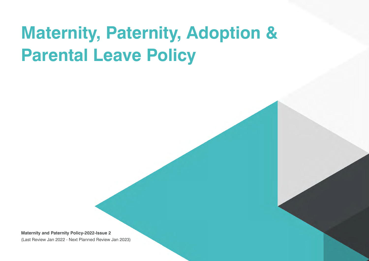# **Maternity, Paternity, Adoption & Parental Leave Policy**

**Maternity and Paternity Policy-2022-Issue 2**  (Last Review Jan 2022 - Next Planned Review Jan 2023)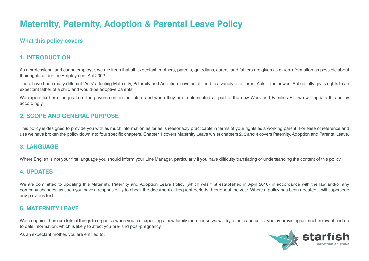## **Maternity, Paternity, Adoption & Parental Leave Policy**

## **What this policy covers**

## **1. INTRODUCTION**

As a professional and caring employer, we are keen that all 'expectant' mothers, parents, quardians, carers, and fathers are given as much information as possible about their rights under the Employment Act 2002.

There have been many different 'Acts' affecting Maternity, Paternity and Adoption leave as defined in a variety of different Acts. The newest Act equally gives rights to an expectant father of a child and would-be adoptive parents.

We expect further changes from the government in the future and when they are implemented as part of the new Work and Families Bill, we will update this policy accordingly.

## **2. SCOPE AND GENERAL PURPOSE**

This policy is designed to provide you with as much information as far as is reasonably practicable in terms of your rights as a working parent. For ease of reference and use we have broken the policy down into four specific chapters. Chapter 1 covers Maternity Leave whilst chapters 2, 3 and 4 covers Paternity, Adoption and Parental Leave.

## **3. LANGUAGE**

Where English is not your first language you should inform your Line Manager, particularly if you have difficulty translating or understanding the content of this policy.

## **4. UPDATES**

We are committed to updating this Maternity, Paternity and Adoption Leave Policy (which was first established in April 2010) in accordance with the law and/or any company changes, as such you have a responsibility to check the document at frequent periods throughout the year. Where a policy has been updated it will supersede any previous text.

## **5. MATERNITY LEAVE**

We recognise there are lots of things to organise when you are expecting a new family member so we will try to help and assist you by providing as much relevant and up to date information, which is likely to affect you pre- and post-pregnancy.

As an expectant mother, you are entitled to:

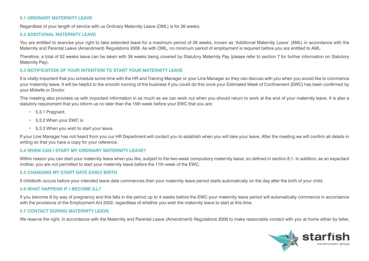#### **5.1 ORDINARY MATERNITY LEAVE**

Regardless of your length of service with us Ordinary Maternity Leave (OML) is for 26 weeks.

#### **5.2 ADDITIONAL MATERNITY LEAVE**

You are entitled to exercise your right to take extended leave for a maximum period of 26 weeks, known as 'Additional Maternity Leave' (AML) in accordance with the Maternity and Parental Leave (Amendment) Regulations 2006. As with OML, no minimum period of employment is required before you are entitled to AML.

Therefore, a total of 52 weeks leave can be taken with 39 weeks being covered by Statutory Maternity Pay (please refer to section 7 for further information on Statutory Maternity Pay).

#### **5.3 NOTIFICATION OF YOUR INTENTION TO START YOUR MATERNITY LEAVE**

It is vitally important that you schedule some time with the HR and Training Manager or your Line Manager so they can discuss with you when you would like to commence your maternity leave. It will be helpful to the smooth running of the business if you could do this once your Estimated Week of Confinement (EWC) has been confirmed by your Midwife or Doctor.

This meeting also provides us with important information in as much as we can work out when you should return to work at the end of your maternity leave. It is also a statutory requirement that you inform us no later than the 15th week before your EWC that you are:

- 5.3.1 Pregnant.
- 5.3.2 When your EWC is
- 5.3.3 When you wish to start your leave.

If your Line Manager has not heard from you our HR Department will contact you to establish when you will take your leave. After the meeting we will confirm all details in writing so that you have a copy for your reference.

#### **5.4 WHEN CAN I START MY ORDINARY MATERNITY LEAVE?**

Within reason you can start your maternity leave when you like, subject to the two-week compulsory maternity leave, so defined in section 8.1. In addition, as an expectant mother, you are not permitted to start your maternity leave before the 11th week of the EWC.

#### **5.5 CHANGING MY START DATE EARLY BIRTH**

If childbirth occurs before your intended leave date commences then your maternity leave period starts automatically on the day after the birth of your child.

#### **5.6 WHAT HAPPENS IF I BECOME ILL?**

If you become ill by way of pregnancy and this falls in the period up to 4 weeks before the EWC your maternity leave period will automatically commence in accordance with the provisions of the Employment Act 2002, regardless of whether you wish the maternity leave to start at this time.

#### **5.7 CONTACT DURING MATERNITY LEAVE**

We reserve the right, in accordance with the Maternity and Parental Leave (Amendment) Regulations 2006 to make reasonable contact with you at home either by letter,

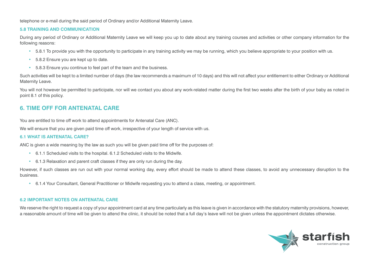telephone or e-mail during the said period of Ordinary and/or Additional Maternity Leave.

#### **5.8 TRAINING AND COMMUNICATION**

During any period of Ordinary or Additional Maternity Leave we will keep you up to date about any training courses and activities or other company information for the following reasons:

- 5.8.1 To provide you with the opportunity to participate in any training activity we may be running, which you believe appropriate to your position with us.
- 5.8.2 Ensure you are kept up to date.
- 5.8.3 Ensure you continue to feel part of the team and the business.

Such activities will be kept to a limited number of days (the law recommends a maximum of 10 days) and this will not affect your entitlement to either Ordinary or Additional Maternity Leave.

You will not however be permitted to participate, nor will we contact you about any work-related matter during the first two weeks after the birth of your baby as noted in point 8.1 of this policy.

## **6. TIME OFF FOR ANTENATAL CARE**

You are entitled to time off work to attend appointments for Antenatal Care (ANC).

We will ensure that you are given paid time off work, irrespective of your length of service with us.

#### **6.1 WHAT IS ANTENATAL CARE?**

ANC is given a wide meaning by the law as such you will be given paid time off for the purposes of:

- 6.1.1 Scheduled visits to the hospital. 6.1.2 Scheduled visits to the Midwife.
- 6.1.3 Relaxation and parent craft classes if they are only run during the day.

However, if such classes are run out with your normal working day, every effort should be made to attend these classes, to avoid any unnecessary disruption to the business.

• 6.1.4 Your Consultant, General Practitioner or Midwife requesting you to attend a class, meeting, or appointment.

#### **6.2 IMPORTANT NOTES ON ANTENATAL CARE**

We reserve the right to request a copy of your appointment card at any time particularly as this leave is given in accordance with the statutory maternity provisions, however, a reasonable amount of time will be given to attend the clinic, it should be noted that a full day's leave will not be given unless the appointment dictates otherwise.

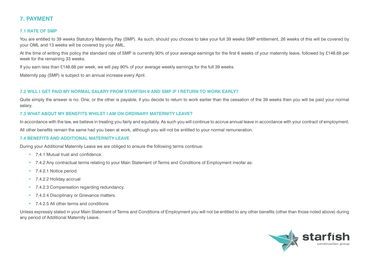## **7. PAYMENT**

#### **7.1 RATE OF SMP**

You are entitled to 39 weeks Statutory Maternity Pay (SMP). As such, should you choose to take your full 39 weeks SMP entitlement, 26 weeks of this will be covered by your OML and 13 weeks will be covered by your AML.

At the time of writing this policy the standard rate of SMP is currently 90% of your average earnings for the first 6 weeks of your maternity leave, followed by £148.68 per week for the remaining 33 weeks.

If you earn less than £148.68 per week, we will pay 90% of your average weekly earnings for the full 39 weeks.

Maternity pay (SMP) is subject to an annual increase every April.

#### **7.2 WILL I GET PAID MY NORMAL SALARY FROM STARFISH 9 AND SMP IF I RETURN TO WORK EARLY?**

Quite simply the answer is no. One, or the other is payable, if you decide to return to work earlier than the cessation of the 39 weeks then you will be paid your normal salary.

#### **7.3 WHAT ABOUT MY BENEFITS WHILST I AM ON ORDINARY MATERNITY LEAVE?**

In accordance with the law, we believe in treating you fairly and equitably. As such you will continue to accrue annual leave in accordance with your contract of employment.

All other benefits remain the same had you been at work, although you will not be entitled to your normal remuneration.

#### **7.4 BENEFITS AND ADDITIONAL MATERNITY LEAVE**

During your Additional Maternity Leave we are obliged to ensure the following terms continue:

- 7.4.1 Mutual trust and confidence.
- 7.4.2 Any contractual terms relating to your Main Statement of Terms and Conditions of Employment insofar as:
- 7.4.2.1 Notice period.
- 7.4.2.2 Holiday accrual
- 7.4.2.3 Compensation regarding redundancy.
- 7.4.2.4 Disciplinary or Grievance matters.
- 7.4.2.5 All other terms and conditions

Unless expressly stated in your Main Statement of Terms and Conditions of Employment you will not be entitled to any other benefits (other than those noted above) during any period of Additional Maternity Leave.

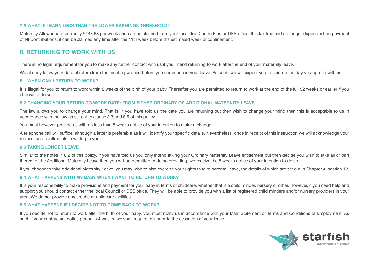#### **7.5 WHAT IF I EARN LESS THAN THE LOWER EARNINGS THRESHOLD?**

Maternity Allowance is currently £148.68 per week and can be claimed from your local Job Centre Plus or DSS office. It is tax free and no longer dependent on payment of NI Contributions, it can be claimed any time after the 11th week before the estimated week of confinement.

## **8. RETURNING TO WORK WITH US**

There is no legal requirement for you to make any further contact with us if you intend returning to work after the end of your maternity leave.

We already know your date of return from the meeting we had before you commenced your leave. As such, we will expect you to start on the day you agreed with us.

#### **8.1 WHEN CAN I RETURN TO WORK?**

It is illegal for you to return to work within 2 weeks of the birth of your baby. Thereafter you are permitted to return to work at the end of the full 52 weeks or earlier if you choose to do so.

#### **8.2 CHANGING YOUR RETURN-TO-WORK DATE: FROM EITHER ORDINARY OR ADDITIONAL MATERNITY LEAVE**

The law allows you to change your mind. That is; if you have told us the date you are returning but then wish to change your mind then this is acceptable to us in accordance with the law as set out in clause 8.3 and 8.5 of this policy.

You must however provide us with no less than 8 weeks notice of your intention to make a change.

A telephone call will suffice, although a letter is preferable as it will identify your specific details. Nevertheless, once in receipt of this instruction we will acknowledge your request and confirm this in writing to you.

#### **8.3 TAKING LONGER LEAVE**

Similar to the notes in 8.2 of this policy, if you have told us you only intend taking your Ordinary Maternity Leave entitlement but then decide you wish to take all or part thereof of the Additional Maternity Leave then you will be permitted to do so providing, we receive the 8 weeks notice of your intention to do so.

If you choose to take Additional Maternity Leave, you may wish to also exercise your rights to take parental leave, the details of which are set out in Chapter 4, section 12.

#### **8.4 WHAT HAPPENS WITH MY BABY WHEN I WANT TO RETURN TO WORK?**

It is your responsibility to make provisions and payment for your baby in terms of childcare, whether that is a child minder, nursery or other. However, if you need help and support you should contact either the local Council or DSS office. They will be able to provide you with a list of registered child minders and/or nursery providers in your area. We do not provide any crèche or childcare facilities.

#### **8.5 WHAT HAPPENS IF I DECIDE NOT TO COME BACK TO WORK?**

If you decide not to return to work after the birth of your baby, you must notify us in accordance with your Main Statement of Terms and Conditions of Employment. As such if your contractual notice period is 4 weeks, we shall require this prior to the cessation of your leave.

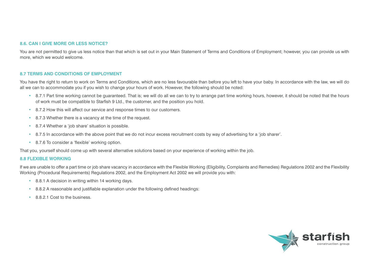#### **8.6. CAN I GIVE MORE OR LESS NOTICE?**

You are not permitted to give us less notice than that which is set out in your Main Statement of Terms and Conditions of Employment; however, you can provide us with more, which we would welcome.

#### **8.7 TERMS AND CONDITIONS OF EMPLOYMENT**

You have the right to return to work on Terms and Conditions, which are no less favourable than before you left to have your baby. In accordance with the law, we will do all we can to accommodate you if you wish to change your hours of work. However, the following should be noted:

- 8.7.1 Part time working cannot be guaranteed. That is; we will do all we can to try to arrange part time working hours, however, it should be noted that the hours of work must be compatible to Starfish 9 Ltd., the customer, and the position you hold.
- 8.7.2 How this will affect our service and response times to our customers.
- 8.7.3 Whether there is a vacancy at the time of the request.
- 8.7.4 Whether a 'job share' situation is possible.
- 8.7.5 In accordance with the above point that we do not incur excess recruitment costs by way of advertising for a 'iob sharer'.
- 8.7.6 To consider a 'flexible' working option.

That you, yourself should come up with several alternative solutions based on your experience of working within the job.

#### **8.8 FLEXIBLE WORKING**

If we are unable to offer a part time or job share vacancy in accordance with the Flexible Working (Eligibility, Complaints and Remedies) Regulations 2002 and the Flexibility Working (Procedural Requirements) Regulations 2002, and the Employment Act 2002 we will provide you with:

- 8.8.1 A decision in writing within 14 working days.
- 8.8.2 A reasonable and justifiable explanation under the following defined headings:
- 8.8.2.1 Cost to the business

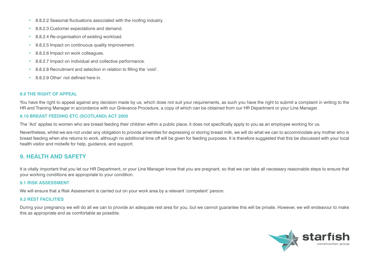- 8.8.2.2 Seasonal fluctuations associated with the roofing industry.
- 8.8.2.3 Customer expectations and demand.
- 8.8.2.4 Re-organisation of existing workload.
- 8.8.2.5 Impact on continuous quality improvement.
- 8.8.2.6 Impact on work colleagues.
- 8.8.2.7 Impact on individual and collective performance.
- 8.8.2.8 Recruitment and selection in relation to filling the 'void'.
- 8.8.2.9 Other' not defined here in

#### **8.9 THE RIGHT OF APPEAL**

You have the right to appeal against any decision made by us, which does not suit your requirements, as such you have the right to submit a complaint in writing to the HR and Training Manager in accordance with our Grievance Procedure, a copy of which can be obtained from our HR Department or your Line Manager.

#### **8.10 BREAST FEEDING ETC (SCOTLAND) ACT 2005**

The 'Act' applies to women who are breast feeding their children within a public place, it does not specifically apply to you as an employee working for us.

Nevertheless, whilst we are not under any obligation to provide amenities for expressing or storing breast milk, we will do what we can to accommodate any mother who is breast feeding when she returns to work, although no additional time off will be given for feeding purposes. It is therefore suggested that this be discussed with your local health visitor and midwife for help, guidance, and support.

## **9. HEALTH AND SAFETY**

It is vitally important that you let our HR Department, or your Line Manager know that you are pregnant, so that we can take all necessary reasonable steps to ensure that your working conditions are appropriate to your condition.

#### **9.1 RISK ASSESSMENT**

We will ensure that a Risk Assessment is carried out on your work area by a relevant 'competent' person.

#### **9.2 REST FACILITIES**

During your pregnancy we will do all we can to provide an adequate rest area for you, but we cannot guarantee this will be private. However, we will endeavour to make this as appropriate and as comfortable as possible.

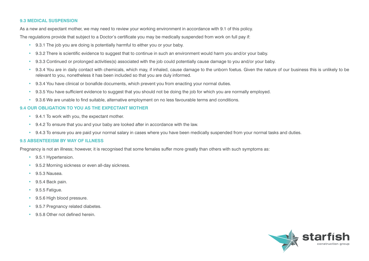#### **9.3 MEDICAL SUSPENSION**

As a new and expectant mother, we may need to review your working environment in accordance with 9.1 of this policy.

The regulations provide that subject to a Doctor's certificate you may be medically suspended from work on full pay if:

- 9.3.1 The job you are doing is potentially harmful to either you or your baby.
- 9.3.2 There is scientific evidence to suggest that to continue in such an environment would harm you and/or your baby.
- 9.3.3 Continued or prolonged activities(s) associated with the job could potentially cause damage to you and/or your baby.
- 9.3.4 You are in daily contact with chemicals, which may, if inhaled, cause damage to the unborn foetus. Given the nature of our business this is unlikely to be relevant to you, nonetheless it has been included so that you are duly informed.
- 9.3.4 You have clinical or bonafide documents, which prevent you from enacting your normal duties.
- 9.3.5 You have sufficient evidence to suggest that you should not be doing the job for which you are normally employed.
- 9.3.6 We are unable to find suitable, alternative employment on no less favourable terms and conditions.

#### **9.4 OUR OBLIGATION TO YOU AS THE EXPECTANT MOTHER**

- 9.4.1 To work with you, the expectant mother.
- 9.4.2 To ensure that you and your baby are looked after in accordance with the law.
- 9.4.3 To ensure you are paid your normal salary in cases where you have been medically suspended from your normal tasks and duties.

#### **9.5 ABSENTEEISM BY WAY OF ILLNESS**

Pregnancy is not an illness; however, it is recognised that some females suffer more greatly than others with such symptoms as:

- 9.5.1 Hypertension.
- 9.5.2 Morning sickness or even all-day sickness.
- 9.5.3 Nausea.
- 9.5.4 Back pain.
- 9.5.5 Fatigue.
- 9.5.6 High blood pressure.
- 9.5.7 Pregnancy related diabetes.
- 9.5.8 Other not defined herein.

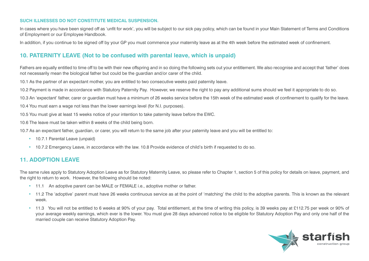#### **SUCH ILLNESSES DO NOT CONSTITUTE MEDICAL SUSPENSION.**

In cases where you have been signed off as 'unfit for work', you will be subject to our sick pay policy, which can be found in your Main Statement of Terms and Conditions of Employment or our Employee Handbook.

In addition, if you continue to be signed off by your GP you must commence your maternity leave as at the 4th week before the estimated week of confinement.

## **10. PATERNITY LEAVE (Not to be confused with parental leave, which is unpaid)**

Fathers are equally entitled to time off to be with their new offspring and in so doing the following sets out your entitlement. We also recognise and accept that 'father' does not necessarily mean the biological father but could be the guardian and/or carer of the child.

10.1 As the partner of an expectant mother, you are entitled to two consecutive weeks paid paternity leave.

10.2 Payment is made in accordance with Statutory Paternity Pay. However, we reserve the right to pay any additional sums should we feel it appropriate to do so.

10.3 An 'expectant' father, carer or guardian must have a minimum of 26 weeks service before the 15th week of the estimated week of confinement to qualify for the leave.

10.4 You must earn a wage not less than the lower earnings level (for N.I. purposes).

10.5 You must give at least 15 weeks notice of your intention to take paternity leave before the EWC.

10.6 The leave must be taken within 8 weeks of the child being born.

10.7 As an expectant father, guardian, or carer, you will return to the same job after your paternity leave and you will be entitled to:

- 10.7.1 Parental Leave (unpaid)
- 10.7.2 Emergency Leave, in accordance with the law. 10.8 Provide evidence of child's birth if requested to do so.

## **11. ADOPTION LEAVE**

The same rules apply to Statutory Adoption Leave as for Statutory Maternity Leave, so please refer to Chapter 1, section 5 of this policy for details on leave, payment, and the right to return to work. However, the following should be noted:

- 11.1 An adoptive parent can be MALE or FEMALE i.e., adoptive mother or father.
- 11.2 The 'adoptive' parent must have 26 weeks continuous service as at the point of 'matching' the child to the adoptive parents. This is known as the relevant week.
- 11.3 You will not be entitled to 6 weeks at 90% of your pay. Total entitlement, at the time of writing this policy, is 39 weeks pay at £112.75 per week or 90% of your average weekly earnings, which ever is the lower. You must give 28 days advanced notice to be eligible for Statutory Adoption Pay and only one half of the married couple can receive Statutory Adoption Pay.

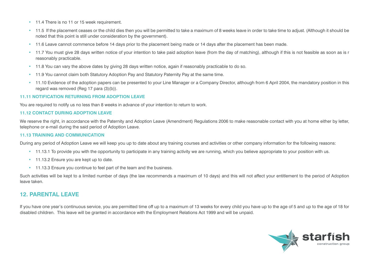- 11.4 There is no 11 or 15 week requirement.
- 11.5 If the placement ceases or the child dies then you will be permitted to take a maximum of 8 weeks leave in order to take time to adjust. (Although it should be noted that this point is still under consideration by the government).
- 11.6 Leave cannot commence before 14 days prior to the placement being made or 14 days after the placement has been made.
- 11.7 You must give 28 days written notice of your intention to take paid adoption leave (from the day of matching), although if this is not feasible as soon as is r reasonably practicable.
- 11.8 You can vary the above dates by giving 28 days written notice, again if reasonably practicable to do so.
- 11.9 You cannot claim both Statutory Adoption Pay and Statutory Paternity Pay at the same time.
- 11.10 Evidence of the adoption papers can be presented to your Line Manager or a Company Director, although from 6 April 2004, the mandatory position in this regard was removed (Reg 17 para (3)(b)).

#### **11.11 NOTIFICATION RETURNING FROM ADOPTION LEAVE**

You are required to notify us no less than 8 weeks in advance of your intention to return to work.

#### **11.12 CONTACT DURING ADOPTION LEAVE**

We reserve the right, in accordance with the Paternity and Adoption Leave (Amendment) Regulations 2006 to make reasonable contact with you at home either by letter, telephone or e-mail during the said period of Adoption Leave.

#### **11.13 TRAINING AND COMMUNICATION**

During any period of Adoption Leave we will keep you up to date about any training courses and activities or other company information for the following reasons:

- 11.13.1 To provide you with the opportunity to participate in any training activity we are running, which you believe appropriate to your position with us.
- 11.13.2 Ensure you are kept up to date.
- 11.13.3 Ensure you continue to feel part of the team and the business.

Such activities will be kept to a limited number of days (the law recommends a maximum of 10 days) and this will not affect your entitlement to the period of Adoption leave taken.

## **12. PARENTAL LEAVE**

If you have one year's continuous service, you are permitted time off up to a maximum of 13 weeks for every child you have up to the age of 5 and up to the age of 18 for disabled children. This leave will be granted in accordance with the Employment Relations Act 1999 and will be unpaid.